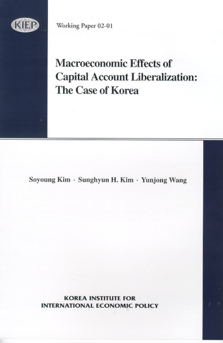

Working Paper 02-01

# **Macroeconomic Effects of Capital Account Liberalization:** The Case of Korea

Soyoung Kim · Sunghyun H. Kim · Yunjong Wang

**KOREA INSTITUTE FOR INTERNATIONAL ECONOMIC POLICY**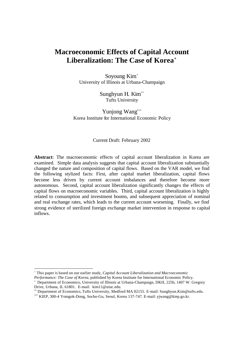# **Macroeconomic Effects of Capital Account Liberalization: The Case of Korea<sup>+</sup>**

Soyoung Kim\* University of Illinois at Urbana-Champaign

> Sunghyun H. Kim\*\* Tufts University

Yunjong Wang\*\*\* Korea Institute for International Economic Policy

#### Current Draft: February 2002

**Abstract**: The macroeconomic effects of capital account liberalization in Korea are examined. Simple data analysis suggests that capital account liberalization substantially changed the nature and composition of capital flows. Based on the VAR model, we find the following stylized facts: First, after capital market liberalization, capital flows become less driven by current account imbalances and therefore become more autonomous. Second, capital account liberalization significantly changes the effects of capital flows on macroeconomic variables. Third, capital account liberalization is highly related to consumption and investment booms, and subsequent appreciation of nominal and real exchange rates, which leads to the current account worsening. Finally, we find strong evidence of sterilized foreign exchange market intervention in response to capital inflows.

j

<sup>+</sup> This paper is based on our earlier study, *Capital Account Liberalization and Macroeconomic*

*Performance: The Case of Korea*, published by Korea Institute for International Economic Policy. \*

Department of Economics, University of Illinois at Urbana-Champaign, DKH, 225b, 1407 W. Gregory Drive, Urbana, IL 61801. E-mail: kim11@uiuc.edu.

<sup>\*\*</sup> Department of Economics, Tufts University, Medford MA 02155. E-mail: Sunghyun.Kim@tufts.edu.

<sup>\*\*\*</sup> KIEP, 300-4 Yomgok-Dong, Socho-Gu, Seoul, Korea 137-747. E-mail: yjwang@kiep.go.kr.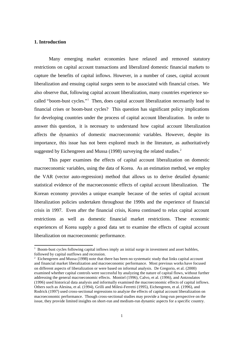#### **1. Introduction**

 $\overline{\phantom{a}}$ 

Many emerging market economies have relaxed and removed statutory restrictions on capital account transactions and liberalized domestic financial markets to capture the benefits of capital inflows. However, in a number of cases, capital account liberalization and ensuing capital surges seem to be associated with financial crises. We also observe that, following capital account liberalization, many countries experience socalled "boom-bust cycles." 1 Then, does capital account liberalization necessarily lead to financial crises or boom-bust cycles? This question has significant policy implications for developing countries under the process of capital account liberalization. In order to answer this question, it is necessary to understand how capital account liberalization affects the dynamics of domestic macroeconomic variables. However, despite its importance, this issue has not been explored much in the literature, as authoritatively suggested by Eichengreen and Mussa (1998) surveying the related studies. $<sup>2</sup>$ </sup>

This paper examines the effects of capital account liberalization on domestic macroeconomic variables, using the data of Korea. As an estimation method, we employ the VAR (vector auto-regression) method that allows us to derive detailed dynamic statistical evidence of the macroeconomic effects of capital account liberalization. The Korean economy provides a unique example because of the series of capital account liberalization policies undertaken throughout the 1990s and the experience of financial crisis in 1997. Even after the financial crisis, Korea continued to relax capital account restrictions as well as domestic financial market restrictions. These economic experiences of Korea supply a good data set to examine the effects of capital account liberalization on macroeconomic performance.

<sup>&</sup>lt;sup>1</sup> Boom-bust cycles following capital inflows imply an initial surge in investment and asset bubbles, followed by capital outflows and recession.

 $2$  Eichengreen and Mussa (1998) note that there has been no systematic study that links capital account and financial market liberalization and macroeconomic performance. Most previous works have focused on different aspects of liberalization or were based on informal analysis. De Gregorio, et al. (2000) examined whether capital controls were successful by analyzing the nature of capital flows, without further addressing the general macroeconomic effects. Montiel (1996), Calvo, et al. (1996), and Antzoulatos (1996) used historical data analysis and informally examined the macroeconomic effects of capital inflows. Others such as Alesina, et al. (1994), Grilli and Milesi-Ferretti (1995), Eichengreen, et al. (1996), and Rodrick (1997) used cross-sectional regressions to analyze the effects of capital account liberalization on macroeconomic performance. Though cross-sectional studies may provide a long-run perspective on the issue, they provide limited insights on short-run and medium-run dynamic aspects for a specific country.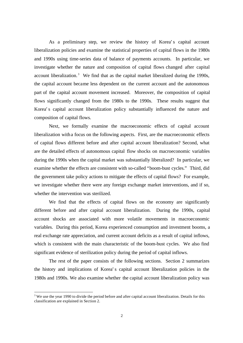As a preliminary step, we review the history of Korea's capital account liberalization policies and examine the statistical properties of capital flows in the 1980s and 1990s using time-series data of balance of payments accounts. In particular, we investigate whether the nature and composition of capital flows changed after capital account liberalization.<sup>3</sup> We find that as the capital market liberalized during the 1990s, the capital account became less dependent on the current account and the autonomous part of the capital account movement increased. Moreover, the composition of capital flows significantly changed from the 1980s to the 1990s. These results suggest that Korea's capital account liberalization policy substantially influenced the nature and composition of capital flows.

Next, we formally examine the macroeconomic effects of capital account liberalization with a focus on the following aspects. First, are the macroeconomic effects of capital flows different before and after capital account liberalization? Second, what are the detailed effects of autonomous capital flow shocks on macroeconomic variables during the 1990s when the capital market was substantially liberalized? In particular, we examine whether the effects are consistent with so-called "boom-bust cycles." Third, did the government take policy actions to mitigate the effects of capital flows? For example, we investigate whether there were any foreign exchange market interventions, and if so, whether the intervention was sterilized.

We find that the effects of capital flows on the economy are significantly different before and after capital account liberalization. During the 1990s, capital account shocks are associated with more volatile movements in macroeconomic variables. During this period, Korea experienced consumption and investment booms, a real exchange rate appreciation, and current account deficits as a result of capital inflows, which is consistent with the main characteristic of the boom-bust cycles. We also find significant evidence of sterilization policy during the period of capital inflows.

The rest of the paper consists of the following sections. Section 2 summarizes the history and implications of Korea's capital account liberalization policies in the 1980s and 1990s. We also examine whether the capital account liberalization policy was

<sup>&</sup>lt;sup>3</sup> We use the year 1990 to divide the period before and after capital account liberalization. Details for this classification are explained in Section 2.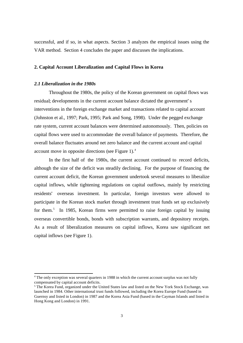successful, and if so, in what aspects. Section 3 analyzes the empirical issues using the VAR method. Section 4 concludes the paper and discusses the implications.

### **2. Capital Account Liberalization and Capital Flows in Korea**

#### *2.1 Liberalization in the 1980s*

 $\overline{a}$ 

Throughout the 1980s, the policy of the Korean government on capital flows was residual; developments in the current account balance dictated the government's interventions in the foreign exchange market and transactions related to capital account (Johnston et al., 1997; Park, 1995; Park and Song, 1998). Under the pegged exchange rate system, current account balances were determined autonomously. Then, policies on capital flows were used to accommodate the overall balance of payments. Therefore, the overall balance fluctuates around net zero balance and the current account and capital account move in opposite directions (see Figure 1).<sup>4</sup>

In the first half of the 1980s, the current account continued to record deficits, although the size of the deficit was steadily declining. For the purpose of financing the current account deficit, the Korean government undertook several measures to liberalize capital inflows, while tightening regulations on capital outflows, mainly by restricting residents' overseas investment. In particular, foreign investors were allowed to participate in the Korean stock market through investment trust funds set up exclusively for them.<sup>5</sup> In 1985, Korean firms were permitted to raise foreign capital by issuing overseas convertible bonds, bonds with subscription warrants, and depository receipts. As a result of liberalization measures on capital inflows, Korea saw significant net capital inflows (see Figure 1).

<sup>&</sup>lt;sup>4</sup> The only exception was several quarters in 1988 in which the current account surplus was not fully compensated by capital account deficits.

<sup>&</sup>lt;sup>5</sup> The Korea Fund, organized under the United States law and listed on the New York Stock Exchange, was launched in 1984. Other international trust funds followed, including the Korea Europe Fund (based in Guernsy and listed in London) in 1987 and the Korea Asia Fund (based in the Cayman Islands and listed in Hong Kong and London) in 1991.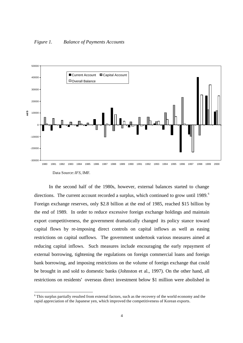

In the second half of the 1980s, however, external balances started to change directions. The current account recorded a surplus, which continued to grow until 1989.<sup>6</sup> Foreign exchange reserves, only \$2.8 billion at the end of 1985, reached \$15 billion by the end of 1989. In order to reduce excessive foreign exchange holdings and maintain export competitiveness, the government dramatically changed its policy stance toward capital flows by re-imposing direct controls on capital inflows as well as easing restrictions on capital outflows. The government undertook various measures aimed at reducing capital inflows. Such measures include encouraging the early repayment of external borrowing, tightening the regulations on foreign commercial loans and foreign bank borrowing, and imposing restrictions on the volume of foreign exchange that could be brought in and sold to domestic banks (Johnston et al., 1997). On the other hand, all restrictions on residents' overseas direct investment below \$1 million were abolished in

<sup>&</sup>lt;sup>6</sup> This surplus partially resulted from external factors, such as the recovery of the world economy and the rapid appreciation of the Japanese yen, which improved the competitiveness of Korean exports.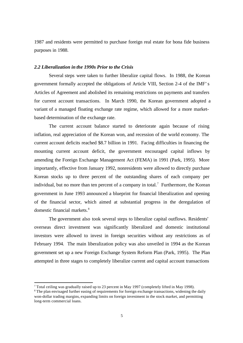1987 and residents were permitted to purchase foreign real estate for bona fide business purposes in 1988.

## *2.2 Liberalization in the 1990s Prior to the Crisis*

Several steps were taken to further liberalize capital flows. In 1988, the Korean government formally accepted the obligations of Article VIII, Section 2-4 of the IMF's Articles of Agreement and abolished its remaining restrictions on payments and transfers for current account transactions. In March 1990, the Korean government adopted a variant of a managed floating exchange rate regime, which allowed for a more marketbased determination of the exchange rate.

The current account balance started to deteriorate again because of rising inflation, real appreciation of the Korean won, and recession of the world economy. The current account deficits reached \$8.7 billion in 1991. Facing difficulties in financing the mounting current account deficit, the government encouraged capital inflows by amending the Foreign Exchange Management Act (FEMA) in 1991 (Park, 1995). More importantly, effective from January 1992, nonresidents were allowed to directly purchase Korean stocks up to three percent of the outstanding shares of each company per individual, but no more than ten percent of a company in total.<sup>7</sup> Furthermore, the Korean government in June 1993 announced a blueprint for financial liberalization and opening of the financial sector, which aimed at substantial progress in the deregulation of domestic financial markets.<sup>8</sup>

The government also took several steps to liberalize capital outflows. Residents' overseas direct investment was significantly liberalized and domestic institutional investors were allowed to invest in foreign securities without any restrictions as of February 1994. The main liberalization policy was also unveiled in 1994 as the Korean government set up a new Foreign Exchange System Reform Plan (Park, 1995). The Plan attempted in three stages to completely liberalize current and capital account transactions

<sup>&</sup>lt;sup>7</sup> Total ceiling was gradually raised up to 23 percent in May 1997 (completely lifted in May 1998).

<sup>&</sup>lt;sup>8</sup> The plan envisaged further easing of requirements for foreign exchange transactions, widening the daily won-dollar trading margins, expanding limits on foreign investment in the stock market, and permitting long-term commercial loans.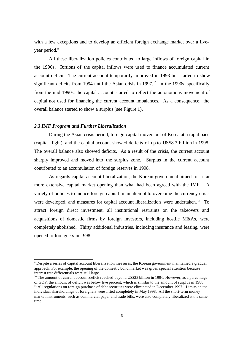with a few exceptions and to develop an efficient foreign exchange market over a fiveyear period.<sup>9</sup>

All these liberalization policies contributed to large inflows of foreign capital in the 1990s. Portions of the capital inflows were used to finance accumulated current account deficits. The current account temporarily improved in 1993 but started to show significant deficits from 1994 until the Asian crisis in  $1997<sup>10</sup>$  In the 1990s, specifically from the mid-1990s, the capital account started to reflect the autonomous movement of capital not used for financing the current account imbalances. As a consequence, the overall balance started to show a surplus (see Figure 1).

#### *2.3 IMF Program and Further Liberalization*

 $\overline{a}$ 

During the Asian crisis period, foreign capital moved out of Korea at a rapid pace (capital flight), and the capital account showed deficits of up to US\$8.3 billion in 1998. The overall balance also showed deficits. As a result of the crisis, the current account sharply improved and moved into the surplus zone. Surplus in the current account contributed to an accumulation of foreign reserves in 1998.

As regards capital account liberalization, the Korean government aimed for a far more extensive capital market opening than what had been agreed with the IMF. A variety of policies to induce foreign capital in an attempt to overcome the currency crisis were developed, and measures for capital account liberalization were undertaken.<sup>11</sup> To attract foreign direct investment, all institutional restraints on the takeovers and acquisitions of domestic firms by foreign investors, including hostile M&As, were completely abolished. Thirty additional industries, including insurance and leasing, were opened to foreigners in 1998.

<sup>&</sup>lt;sup>9</sup> Despite a series of capital account liberalization measures, the Korean government maintained a gradual approach. For example, the opening of the domestic bond market was given special attention because interest rate differentials were still large.

<sup>&</sup>lt;sup>10</sup> The amount of current account deficit reached beyond US\$23 billion in 1996. However, as a percentage of GDP, the amount of deficit was below five percent, which is similar to the amount of surplus in 1988.

 $11$  All regulations on foreign purchase of debt securities were eliminated in December 1997. Limits on the individual shareholdings of foreigners were lifted completely in May 1998. All the short-term money market instruments, such as commercial paper and trade bills, were also completely liberalized at the same time.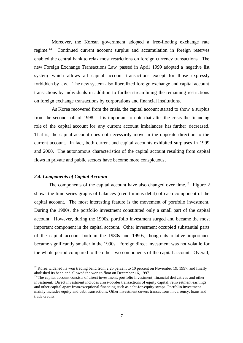Moreover, the Korean government adopted a free-floating exchange rate regime.<sup>12</sup> Continued current account surplus and accumulation in foreign reserves enabled the central bank to relax most restrictions on foreign currency transactions. The new Foreign Exchange Transactions Law passed in April 1999 adopted a negative list system, which allows all capital account transactions except for those expressly forbidden by law. The new system also liberalized foreign exchange and capital account transactions by individuals in addition to further streamlining the remaining restrictions on foreign exchange transactions by corporations and financial institutions.

As Korea recovered from the crisis, the capital account started to show a surplus from the second half of 1998. It is important to note that after the crisis the financing role of the capital account for any current account imbalances has further decreased. That is, the capital account does not necessarily move in the opposite direction to the current account. In fact, both current and capital accounts exhibited surpluses in 1999 and 2000. The autonomous characteristics of the capital account resulting from capital flows in private and public sectors have become more conspicuous.

# *2.4. Components of Capital Account*

 $\overline{a}$ 

The components of the capital account have also changed over time.<sup>13</sup> Figure 2 shows the time-series graphs of balances (credit minus debit) of each component of the capital account. The most interesting feature is the movement of portfolio investment. During the 1980s, the portfolio investment constituted only a small part of the capital account. However, during the 1990s, portfolio investment surged and became the most important component in the capital account. Other investment occupied substantial parts of the capital account both in the 1980s and 1990s, though its relative importance became significantly smaller in the 1990s. Foreign direct investment was not volatile for the whole period compared to the other two components of the capital account. Overall,

 $12$  Korea widened its won trading band from 2.25 percent to 10 percent on November 19, 1997, and finally abolished its band and allowed the won to float on December 16, 1997.

<sup>&</sup>lt;sup>13</sup> The capital account consists of direct investment, portfolio investment, financial derivatives and other investment. Direct investment includes cross-border transactions of equity capital, reinvestment earnings and other capital apart from exceptional financing such as debt-for-equity swaps. Portfolio investment mainly includes equity and debt transactions. Other investment covers transactions in currency, loans and trade credits.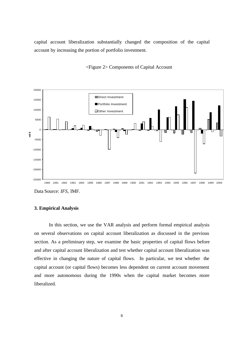capital account liberalization substantially changed the composition of the capital account by increasing the portion of portfolio investment.





Data Source: *IFS,* IMF.

#### **3. Empirical Analysis**

In this section, we use the VAR analysis and perform formal empirical analysis on several observations on capital account liberalization as discussed in the previous section. As a preliminary step, we examine the basic properties of capital flows before and after capital account liberalization and test whether capital account liberalization was effective in changing the nature of capital flows. In particular, we test whether the capital account (or capital flows) becomes less dependent on current account movement and more autonomous during the 1990s when the capital market becomes more liberalized.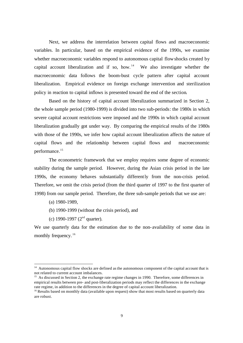Next, we address the interrelation between capital flows and macroeconomic variables. In particular, based on the empirical evidence of the 1990s, we examine whether macroeconomic variables respond to autonomous capital flowshocks created by capital account liberalization and if so, how.<sup>14</sup> We also investigate whether the macroeconomic data follows the boom-bust cycle pattern after capital account liberalization. Empirical evidence on foreign exchange intervention and sterilization policy in reaction to capital inflows is presented toward the end of the section.

Based on the history of capital account liberalization summarized in Section 2, the whole sample period (1980-1999) is divided into two sub-periods: the 1980s in which severe capital account restrictions were imposed and the 1990s in which capital account liberalization gradually got under way. By comparing the empirical results of the 1980s with those of the 1990s, we infer how capital account liberalization affects the nature of capital flows and the relationship between capital flows and macroeconomic performance.<sup>15</sup>

The econometric framework that we employ requires some degree of economic stability during the sample period. However, during the Asian crisis period in the late 1990s, the economy behaves substantially differently from the non-crisis period. Therefore, we omit the crisis period (from the third quarter of 1997 to the first quarter of 1998) from our sample period. Therefore, the three sub-sample periods that we use are:

(a) 1980-1989,

 $\overline{a}$ 

- (b) 1990-1999 (without the crisis period), and
- (c) 1990-1997 ( $2<sup>nd</sup>$  quarter).

We use quarterly data for the estimation due to the non- availability of some data in monthly frequency.<sup>16</sup>

<sup>&</sup>lt;sup>14</sup> Autonomous capital flow shocks are defined as the autonomous component of the capital account that is not related to current account imbalances.

<sup>&</sup>lt;sup>15</sup> As discussed in Section 2, the exchange rate regime changes in 1990. Therefore, some differences in empirical results between pre- and post-liberalization periods may reflect the differences in the exchange rate regime, in addition to the differences in the degree of capital account liberalization.

<sup>&</sup>lt;sup>16</sup> Results based on monthly data (available upon request) show that most results based on quarterly data are robust.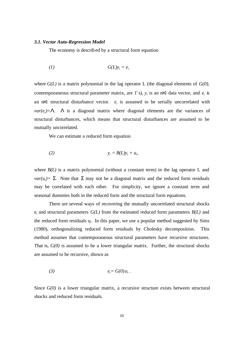#### *3.1. Vector Auto-Regression Model*

The economy is described by a structural form equation

$$
(1) \tG(L)y_t = e_{t, t}
$$

where *G(L)* is a matrix polynomial in the lag operator L (the diagonal elements of *G(0),* contemporaneous structural parameter matrix, are 1's),  $y_t$  is an  $tx1$  data vector, and  $e_t$  is an  $n \times 1$  structural disturbance vector.  $e_t$  is assumed to be serially uncorrelated with  $var(e_t) = L$  *L* is a diagonal matrix where diagonal elements are the variances of structural disturbances, which means that structural disturbances are assumed to be mutually uncorrelated.

We can estimate a reduced form equation

$$
(2) \t\t\t y_t = B(L)y_t + u_t,
$$

where  $B(L)$  is a matrix polynomial (without a constant term) in the lag operator L and *var*( $u_t$ ) = **S**. Note that **S** may not be a diagonal matrix and the reduced form residuals may be correlated with each other. For simplicity, we ignore a constant term and seasonal dummies both in the reduced form and the structural form equations.

There are several ways of recovering the mutually uncorrelated structural shocks  $e_t$  and structural parameters  $G(L)$  from the estimated reduced form parameters  $B(L)$  and the reduced form residuals u. In this paper, we use a popular method suggested by Sims (1980), orthogonalizing reduced form residuals by Cholesky decomposition. This method assumes that contemporaneous structural parameters have recursive structures. That is, *G(0)* is assumed to be a lower triangular matrix. Further, the structural shocks are assumed to be recursive, shown as

$$
(3) \t\t e_i = G(0)u_i.
$$

Since *G(0)* is a lower triangular matrix, a recursive structure exists between structural shocks and reduced form residuals.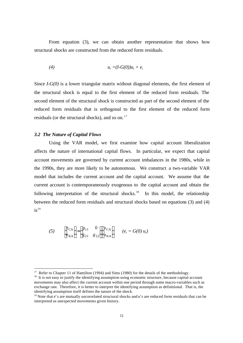From equation (3), we can obtain another representation that shows how structural shocks are constructed from the reduced form residuals.

$$
(4) \t u_t = (I-G(0))u_t + e_t
$$

Since *I-G(0)* is a lower triangular matrix without diagonal elements, the first element of the structural shock is equal to the first element of the reduced form residuals. The second element of the structural shock is constructed as part of the second element of the reduced form residuals that is orthogonal to the first element of the reduced form residuals (or the structural shocks), and so on.<sup>17</sup>

#### *3.2 The Nature of Capital Flows*

 $\overline{a}$ 

Using the VAR model, we first examine how capital account liberalization affects the nature of international capital flows. In particular, we expect that capital account movements are governed by current account imbalances in the 1980s, while in the 1990s, they are more likely to be autonomous. We construct a two-variable VAR model that includes the current account and the capital account. We assume that the current account is contemporaneously exogenous to the capital account and obtain the following interpretation of the structural shocks.<sup>18</sup> In this model, the relationship between the reduced form residuals and structural shocks based on equations (3) and (4)  $is^{19}$ 

$$
(5) \qquad \begin{bmatrix} e_{\text{CA}} \\ e_{\text{KA}} \end{bmatrix} = \begin{bmatrix} g_{11} & 0 \\ g_{21} & g_{22} \end{bmatrix} \begin{bmatrix} u_{\text{CA}} \\ u_{\text{KA}} \end{bmatrix} \qquad (e_t = G(0) \ u_t)
$$

<sup>&</sup>lt;sup>17</sup> Refer to Chapter 11 of Hamilton (1994) and Sims (1980) for the details of the methodology.

<sup>&</sup>lt;sup>18</sup> It is not easy to justify the identifying assumption using economic structure, because capital account movements may also affect the current account within one period through some macro-variables such as exchange rate. Therefore, it is better to interpret the identifying assumption as definitional. That is, the identifying assumption itself defines the nature of the shock.

<sup>&</sup>lt;sup>19</sup> Note that *e*'s are mutually uncorrelated structural shocks and *u*'s are reduced form residuals that can be interpreted as unexpected movements given history.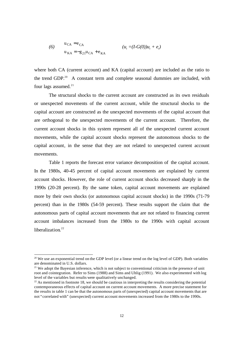(6) 
$$
u_{CA} = e_{CA}
$$

$$
u_{KA} = -g_{21}u_{CA} + e_{KA}
$$

$$
(u_{t} = (I-G(0))u_{t} + e_{t})
$$

where both CA (current account) and KA (capital account) are included as the ratio to the trend GDP. $^{20}$  A constant term and complete seasonal dummies are included, with four lags assumed. $21$ 

The structural shocks to the current account are constructed as its own residuals or unexpected movements of the current account, while the structural shocks to the capital account are constructed as the unexpected movements of the capital account that are orthogonal to the unexpected movements of the current account. Therefore, the current account shocks in this system represent all of the unexpected current account movements, while the capital account shocks represent the autonomous shocks to the capital account, in the sense that they are not related to unexpected current account movements.

Table 1 reports the forecast error variance decomposition of the capital account. In the 1980s, 40-45 percent of capital account movements are explained by current account shocks. However, the role of current account shocks decreased sharply in the 1990s (20-28 percent). By the same token, capital account movements are explained more by their own shocks (or autonomous capital account shocks) in the 1990s (71-79 percent) than in the 1980s (54-59 percent). These results support the claim that the autonomous parts of capital account movements that are not related to financing current account imbalances increased from the 1980s to the 1990s with capital account liberalization.<sup>22</sup>

<sup>&</sup>lt;sup>20</sup> We use an exponential trend on the GDP level (or a linear trend on the log level of GDP). Both variables are denominated in U.S. dollars.

 $21$  We adopt the Bayesian inference, which is not subject to conventional criticism in the presence of unit root and cointegration. Refer to Sims (1988) and Sims and Uhlig (1991). We also experimented with log level of the variables but results were qualitatively unchanged.

 $^{22}$  As mentioned in footnote 18, we should be cautious in interpreting the results considering the potential contemporaneous effects of capital account on current account movements. A more precise statement for the results in table 1 can be that the autonomous parts of (unexpected) capital account movements that are not "correlated with" (unexpected) current account movements increased from the 1980s to the 1990s.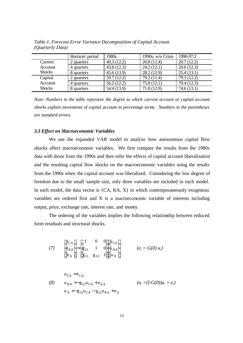|               | Horizon\ period | 1980s       | 1990s, $w/o$ Crisis | 1990-97:2   |
|---------------|-----------------|-------------|---------------------|-------------|
| Current       | 2 quarters      | 40.3(12.2)  | 20.8(11.4)          | 20.7(12.2)  |
| Account       | 4 quarters      | 43.8(12.3)  | 24.2(12.1)          | 20.6(12.3)  |
| <b>Shocks</b> | 8 quarters      | 45.6(13.9)  | 28.2(12.9)          | 25.4(13.1)  |
| Capital       | 2 quarters      | 59.7(12.2)  | 79.2 (11.4)         | 79.3 (12.2) |
| Account       | 4 quarters      | 56.2(12.2)  | 75.8(12.1)          | 79.4 (12.3) |
| <b>Shocks</b> | 8 quarters      | 54.4 (13.9) | 71.8(12.9)          | 74.6(13.1)  |

*Table 1. Forecast Error Variance Decomposition of Capital Account (Quarterly Data)*

*Note: Numbers in the table represent the degree to which current account or capital account shocks explain movements of capital account in percentage terms. Numbers in the parentheses are standard errors.*

#### *3.3 Effect on Macroeconomic Variables*

We use the expanded VAR model to analyze how autonomous capital flow shocks affect macroeconomic variables. We first compare the results from the 1980s data with those from the 1990s and then infer the effects of capital account liberalization and the resulting capital flow shocks on the macroeconomic variables using the results from the 1990s when the capital account was liberalized. Considering the low degree of freedom due to the small sample size, only three variables are included in each model. In each model, the data vector is  ${CA, KA, X}$  in which contemporaneously exogenous variables are ordered first and X is a macroeconomic variable of interests including output, price, exchange rate, interest rate, and money.

The ordering of the variables implies the following relationship between reduced form residuals and structural shocks.

(7) 
$$
\begin{bmatrix} e_{\text{CA}} \\ e_{\text{KA}} \\ e_{\text{X}} \end{bmatrix} = \begin{bmatrix} 1 & 0 & 0 \\ g_{21} & 1 & 0 \\ g_{31} & g_{32} & 1 \end{bmatrix} \begin{bmatrix} u_{\text{CA}} \\ u_{\text{KA}} \\ u_{\text{X}} \end{bmatrix}
$$
 (e<sub>t</sub> = G(0) u<sub>t</sub>)

$$
u_{CA} = e_{CA}
$$
  
(8) 
$$
u_{KA} = -g_{21}u_{CA} + e_{KA}
$$

$$
(u_{t} = (I-G(0))u_{t} + e_{t})
$$

$$
u_{X} = -g_{31}u_{CA} - g_{32}u_{KA} + e_{X}
$$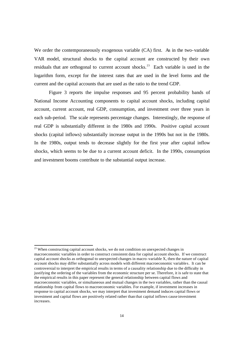We order the contemporaneously exogenous variable (CA) first. As in the two-variable VAR model, structural shocks to the capital account are constructed by their own residuals that are orthogonal to current account shocks.<sup>23</sup> Each variable is used in the logarithm form, except for the interest rates that are used in the level forms and the current and the capital accounts that are used as the ratio to the trend GDP.

Figure 3 reports the impulse responses and 95 percent probability bands of National Income Accounting components to capital account shocks, including capital account, current account, real GDP, consumption, and investment over three years in each sub-period. The scale represents percentage changes. Interestingly, the response of real GDP is substantially different in the 1980s and 1990s. Positive capital account shocks (capital inflows) substantially increase output in the 1990s but not in the 1980s. In the 1980s, output tends to decrease slightly for the first year after capital inflow shocks, which seems to be due to a current account deficit. In the 1990s, consumption and investment booms contribute to the substantial output increase.

<sup>&</sup>lt;sup>23</sup> When constructing capital account shocks, we do not condition on unexpected changes in macroeconomic variables in order to construct consistent data for capital account shocks. If we construct capital account shocks as orthogonal to unexpected changes in macro -variable X, then the nature of capital account shocks may differ substantially across models with different macroeconomic variables. It can be controversial to interpret the empirical results in terms of a causality relationship due to the difficulty in justifying the ordering of the variables from the economic structure per se. Therefore, it is safe to state that the empirical results in this paper represent the general relationship between capital flows and macroeconomic variables, or simultaneous and mutual changes in the two variables, rather than the causal relationship from capital flows to macroeconomic variables. For example, if investment increases in response to capital account shocks, we may interpret that investment demand induces capital flows or investment and capital flows are positively related rather than that capital inflows cause investment increases.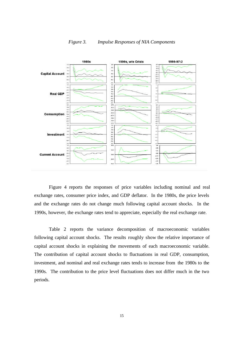

*Figure 3. Impulse Responses of NIA Components*

Figure 4 reports the responses of price variables including nominal and real exchange rates, consumer price index, and GDP deflator. In the 1980s, the price levels and the exchange rates do not change much following capital account shocks. In the 1990s, however, the exchange rates tend to appreciate, especially the real exchange rate.

Table 2 reports the variance decomposition of macroeconomic variables following capital account shocks. The results roughly show the relative importance of capital account shocks in explaining the movements of each macroeconomic variable. The contribution of capital account shocks to fluctuations in real GDP, consumption, investment, and nominal and real exchange rates tends to increase from the 1980s to the 1990s. The contribution to the price level fluctuations does not differ much in the two periods.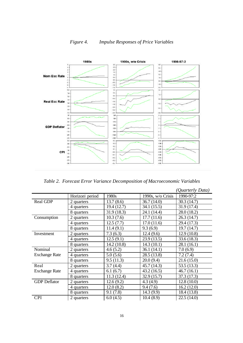

*Figure 4. Impulse Responses of Price Variables*

*Table 2. Forecast Error Variance Decomposition of Macroeconomic Variables*

|                      |                 |             |                   | (Quarterly Data) |
|----------------------|-----------------|-------------|-------------------|------------------|
|                      | Horizon\ period | 1980s       | 1990s, w/o Crisis | 1990-97:2        |
| Real GDP             | 2 quarters      | 13.7(8.6)   | 36.7(14.0)        | 30.3(14.7)       |
|                      | 4 quarters      | 19.4 (12.7) | 34.1(15.5)        | 31.9 (17.4)      |
|                      | 8 quarters      | 31.9(18.3)  | 24.1 (14.4)       | 28.0 (18.2)      |
| Consumption          | 2 quarters      | 10.3(7.6)   | 17.7(11.6)        | 26.3 (14.7)      |
|                      | 4 quarters      | 12.5(7.7)   | 17.0(11.6)        | 29.4 (17.3)      |
|                      | 8 quarters      | 11.4(9.1)   | 9.3(6.9)          | 19.7(14.7)       |
| Investment           | 2 quarters      | 7.3(6.3)    | 12.4(9.6)         | 12.9(10.8)       |
|                      | 4 quarters      | 12.5(9.1)   | 23.9(13.5)        | 33.6(18.3)       |
|                      | 8 quarters      | 14.2(10.8)  | 14.3(10.1)        | 28.1(16.1)       |
| Nominal              | 2 quarters      | 4.6(5.2)    | 36.1(14.1)        | 7.0(6.9)         |
| <b>Exchange Rate</b> | 4 quarters      | 5.0(5.6)    | 28.5 (13.8)       | 7.2(7.4)         |
|                      | 8 quarters      | 9.5(11.3)   | 20.0(9.4)         | 21.6(15.0)       |
| Real                 | 2 quarters      | 3.7(4.4)    | 45.7 (14.3)       | 53.5 (13.3)      |
| <b>Exchange Rate</b> | 4 quarters      | 6.1(6.7)    | 43.2(16.5)        | 46.7(16.1)       |
|                      | 8 quarters      | 11.3(12.4)  | 32.9(15.7)        | 37.3 (17.3)      |
| <b>GDP</b> Deflator  | 2 quarters      | 12.6(9.2)   | 4.3(4.9)          | 12.8(10.0)       |
|                      | 4 quarters      | 12.0(8.2)   | 9.4(7.6)          | 16.2(12.0)       |
|                      | 8 quarters      | 9.1(7.8)    | 14.3(9.9)         | 18.4 (13.8)      |
| <b>CPI</b>           | 2 quarters      | 6.0(4.5)    | 10.4(8.9)         | 22.5(14.0)       |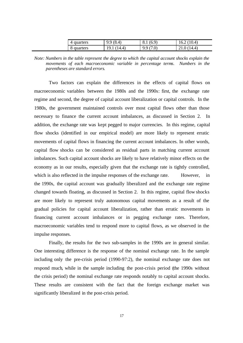| 4 quarters | 9.9(8.4)    | 8.1(6.9) | 16.2(10.4) |
|------------|-------------|----------|------------|
| 8 quarters | 19.1 (14.4) | 9.9(7.0) | 21.0(14.4) |

*Note: Numbers in the table represent the degree to which the capital account shocks explain the movements of each macroeconomic variable in percentage terms. Numbers in the parentheses are standard errors.*

Two factors can explain the differences in the effects of capital flows on macroeconomic variables between the 1980s and the 1990s: first, the exchange rate regime and second, the degree of capital account liberalization or capital controls. In the 1980s, the government maintained controls over most capital flows other than those necessary to finance the current account imbalances, as discussed in Section 2. In addition, the exchange rate was kept pegged to major currencies. In this regime, capital flow shocks (identified in our empirical model) are more likely to represent erratic movements of capital flows in financing the current account imbalances. In other words, capital flow shocks can be considered as residual parts in matching current account imbalances. Such capital account shocks are likely to have relatively minor effects on the economy as in our results, especially given that the exchange rate is tightly controlled, which is also reflected in the impulse responses of the exchange rate. However, in the 1990s, the capital account was gradually liberalized and the exchange rate regime changed towards floating, as discussed in Section 2. In this regime, capital flow shocks are more likely to represent truly autonomous capital movements as a result of the gradual policies for capital account liberalization, rather than erratic movements in financing current account imbalances or in pegging exchange rates. Therefore, macroeconomic variables tend to respond more to capital flows, as we observed in the impulse responses.

Finally, the results for the two sub-samples in the 1990s are in general similar. One interesting difference is the response of the nominal exchange rate. In the sample including only the pre-crisis period (1990-97:2), the nominal exchange rate does not respond much, while in the sample including the post-crisis period (the 1990s without the crisis period) the nominal exchange rate responds notably to capital account shocks. These results are consistent with the fact that the foreign exchange market was significantly liberalized in the post-crisis period.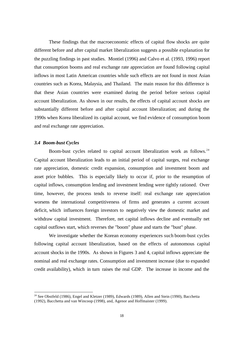These findings that the macroeconomic effects of capital flow shocks are quite different before and after capital market liberalization suggests a possible explanation for the puzzling findings in past studies. Montiel (1996) and Calvo et al. (1993, 1996) report that consumption booms and real exchange rate appreciation are found following capital inflows in most Latin American countries while such effects are not found in most Asian countries such as Korea, Malaysia, and Thailand. The main reason for this difference is that these Asian countries were examined during the period before serious capital account liberalization. As shown in our results, the effects of capital account shocks are substantially different before and after capital account liberalization; and during the 1990s when Korea liberalized its capital account, we find evidence of consumption boom and real exchange rate appreciation.

# *3.4 Boom-bust Cycles*

 $\overline{a}$ 

Boom-bust cycles related to capital account liberalization work as follows.<sup>24</sup> Capital account liberalization leads to an initial period of capital surges, real exchange rate appreciation, domestic credit expansion, consumption and investment boom and asset price bubbles. This is especially likely to occur if, prior to the resumption of capital inflows, consumption lending and investment lending were tightly rationed. Over time, however, the process tends to reverse itself: real exchange rate appreciation worsens the international competitiveness of firms and generates a current account deficit, which influences foreign investors to negatively view the domestic market and withdraw capital investment. Therefore, net capital inflows decline and eventually net capital outflows start, which reverses the "boom" phase and starts the "bust" phase.

We investigate whether the Korean economy experiences such boom-bust cycles following capital account liberalization, based on the effects of autonomous capital account shocks in the 1990s. As shown in Figures 3 and 4, capital inflows appreciate the nominal and real exchange rates. Consumption and investment increase (due to expanded credit availability), which in turn raises the real GDP. The increase in income and the

<sup>&</sup>lt;sup>24</sup> See Obstfeld (1986), Engel and Kletzer (1989), Edwards (1989), Allen and Stein (1990), Bacchetta (1992), Bacchetta and van Wincoop (1998), and, Agenor and Hoffmaister (1999).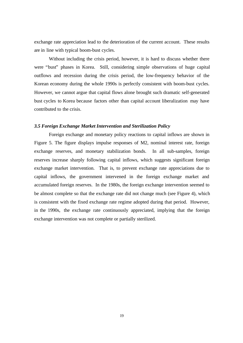exchange rate appreciation lead to the deterioration of the current account. These results are in line with typical boom-bust cycles.

Without including the crisis period, however, it is hard to discuss whether there were "bust" phases in Korea. Still, considering simple observations of huge capital outflows and recession during the crisis period, the low-frequency behavior of the Korean economy during the whole 1990s is perfectly consistent with boom-bust cycles. However, we cannot argue that capital flows alone brought such dramatic self-generated bust cycles to Korea because factors other than capital account liberalization may have contributed to the crisis.

#### *3.5 Foreign Exchange Market Intervention and Sterilization Policy*

Foreign exchange and monetary policy reactions to capital inflows are shown in Figure 5. The figure displays impulse responses of M2, nominal interest rate, foreign exchange reserves, and monetary stabilization bonds. In all sub-samples, foreign reserves increase sharply following capital inflows, which suggests significant foreign exchange market intervention. That is, to prevent exchange rate appreciations due to capital inflows, the government intervened in the foreign exchange market and accumulated foreign reserves. In the 1980s, the foreign exchange intervention seemed to be almost complete so that the exchange rate did not change much (see Figure 4), which is consistent with the fixed exchange rate regime adopted during that period. However, in the 1990s, the exchange rate continuously appreciated, implying that the foreign exchange intervention was not complete or partially sterilized.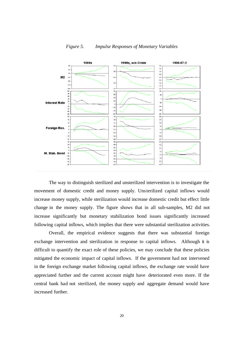

*Figure 5. Impulse Responses of Monetary Variables*

The way to distinguish sterilized and unsterilized intervention is to investigate the movement of domestic credit and money supply. Unsterilized capital inflows would increase money supply, while sterilization would increase domestic credit but effect little change in the money supply. The figure shows that in all sub-samples, M2 did not increase significantly but monetary stabilization bond issues significantly increased following capital inflows, which implies that there were substantial sterilization activities.

Overall, the empirical evidence suggests that there was substantial foreign exchange intervention and sterilization in response to capital inflows. Although it is difficult to quantify the exact role of these policies, we may conclude that these policies mitigated the economic impact of capital inflows. If the government had not intervened in the foreign exchange market following capital inflows, the exchange rate would have appreciated further and the current account might have deteriorated even more. If the central bank had not sterilized, the money supply and aggregate demand would have increased further.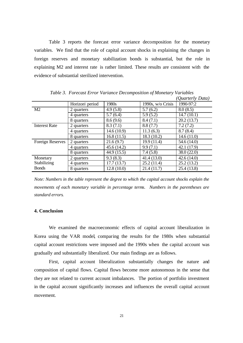Table 3 reports the forecast error variance decomposition for the monetary variables. We find that the role of capital account shocks in explaining the changes in foreign reserves and monetary stabilization bonds is substantial, but the role in explaining M2 and interest rate is rather limited. These results are consistent with the evidence of substantial sterilized intervention.

|                      |                 |             |                   | (Quarterly Data) |
|----------------------|-----------------|-------------|-------------------|------------------|
|                      | Horizon\ period | 1980s       | 1990s, w/o Crisis | 1990-97:2        |
| M2                   | 2 quarters      | 4.9(5.8)    | 5.7(6.2)          | 8.0(8.5)         |
|                      | 4 quarters      | 5.7(6.4)    | 5.9(5.2)          | 14.7(10.1)       |
|                      | 8 quarters      | 8.6(9.6)    | 8.4(7.1)          | 20.2(13.7)       |
| <b>Interest Rate</b> | 2 quarters      | 8.3(7.1)    | 8.8(7.7)          | 7.2(7.2)         |
|                      | 4 quarters      | 14.6(10.9)  | 11.3(6.3)         | 8.7(8.4)         |
|                      | 8 quarters      | 16.8(11.5)  | 18.3 (10.2)       | 14.6(11.0)       |
| Foreign Reserves     | 2 quarters      | 21.6(9.7)   | 19.9 (11.4)       | 54.6 (14.0)      |
|                      | 4 quarters      | 45.6(14.2)  | 9.9(7.1)          | 42.1 (17.9)      |
|                      | 8 quarters      | 44.9 (15.5) | 7.4(5.8)          | 38.0 (22.0)      |
| Monetary             | 2 quarters      | 9.3(8.3)    | 41.4 (13.0)       | 42.6(14.0)       |
| Stabilizing          | 4 quarters      | 17.7(13.7)  | 25.2(11.4)        | 25.2(13.2)       |
| <b>Bonds</b>         | 8 quarters      | 12.8(10.0)  | 21.4(11.7)        | 25.4 (13.8)      |

*Table 3. Forecast Error Variance Decomposition of Monetary Variables*

*Note: Numbers in the table represent the degree to which the capital account shocks explain the movements of each monetary variable in percentage terms. Numbers in the parentheses are standard errors.*

#### **4. Conclusion**

We examined the macroeconomic effects of capital account liberalization in Korea using the VAR model, comparing the results for the 1980s when substantial capital account restrictions were imposed and the 1990s when the capital account was gradually and substantially liberalized. Our main findings are as follows.

First, capital account liberalization substantially changes the nature and composition of capital flows. Capital flows become more autonomous in the sense that they are not related to current account imbalances. The portion of portfolio investment in the capital account significantly increases and influences the overall capital account movement.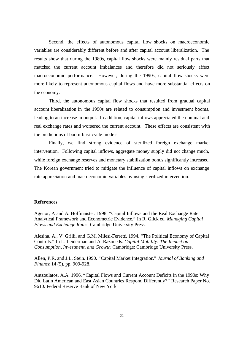Second, the effects of autonomous capital flow shocks on macroeconomic variables are considerably different before and after capital account liberalization. The results show that during the 1980s, capital flow shocks were mainly residual parts that matched the current account imbalances and therefore did not seriously affect macroeconomic performance. However, during the 1990s, capital flow shocks were more likely to represent autonomous capital flows and have more substantial effects on the economy.

Third, the autonomous capital flow shocks that resulted from gradual capital account liberalization in the 1990s are related to consumption and investment booms, leading to an increase in output. In addition, capital inflows appreciated the nominal and real exchange rates and worsened the current account. These effects are consistent with the predictions of boom-bust cycle models.

Finally, we find strong evidence of sterilized foreign exchange market intervention. Following capital inflows, aggregate money supply did not change much, while foreign exchange reserves and monetary stabilization bonds significantly increased. The Korean government tried to mitigate the influence of capital inflows on exchange rate appreciation and macroeconomic variables by using sterilized intervention.

#### **References**

Agenor, P. and A. Hoffmaister. 1998. "Capital Inflows and the Real Exchange Rate: Analytical Framework and Econometric Evidence." In R. Glick ed. *Managing Capital Flows and Exchange Rates.* Cambridge University Press.

Alesina, A., V. Grilli, and G.M. Milesi-Ferretti. 1994. "The Political Economy of Capital Controls." In L. Leiderman and A. Razin eds. *Capital Mobility: The Impact on Consumption, Investment, and Growth.* Cambridge: Cambridge University Press.

Allen, P.R, and J.L. Stein. 1990. "Capital Market Integration." *Journal of Banking and Finance* 14 (5), pp. 909-928.

Antzoulatos, A.A. 1996. "Capital Flows and Current Account Deficits in the 1990s: Why Did Latin American and East Asian Countries Respond Differently?" Research Paper No. 9610. Federal Reserve Bank of New York.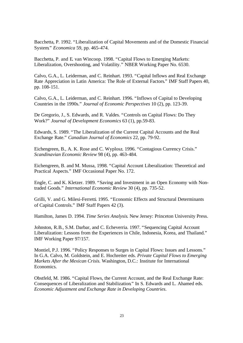Bacchetta, P. 1992. "Liberalization of Capital Movements and of the Domestic Financial System." *Economica* 59, pp. 465-474.

Bacchetta, P. and E. van Wincoop. 1998. "Capital Flows to Emerging Markets: Liberalization, Overshooting, and Volatility." NBER Working Paper No. 6530.

Calvo, G.A., L. Leiderman, and C. Reinhart. 1993. "Capital Inflows and Real Exchange Rate Appreciation in Latin America: The Role of External Factors." IMF Staff Papers 40, pp. 108-151.

Calvo, G.A., L. Leiderman, and C. Reinhart. 1996. "Inflows of Capital to Developing Countries in the 1990s." *Journal of Economic Perspectives* 10 (2), pp. 123-39.

De Gregorio, J., S. Edwards, and R. Valdes. "Controls on Capital Flows: Do They Work?" *Journal of Development Economics* 63 (1), pp.59-83.

Edwards, S. 1989. "The Liberalization of the Current Capital Accounts and the Real Exchange Rate." *Canadian Journal of Economics* 22, pp. 79-92.

Eichengreen, B., A. K. Rose and C. Wyplosz. 1996. "Contagious Currency Crisis." *Scandinavian Economic Review* 98 (4), pp. 463-484.

Eichengreen, B. and M. Mussa, 1998. "Capital Account Liberalization: Theoretical and Practical Aspects." IMF Occasional Paper No. 172.

Engle, C. and K. Kletzer. 1989. "Saving and Investment in an Open Economy with Nontraded Goods." *International Economic Review* 30 (4), pp. 735-52.

Grilli, V. and G. Milesi-Ferretti. 1995. "Economic Effects and Structural Determinants of Capital Controls." IMF Staff Papers 42 (3).

Hamilton, James D. 1994. *Time Series Analysis.* New Jersey: Princeton University Press.

Johnston, R.B., S.M. Darbar, and C. Echeverria. 1997. "Sequencing Capital Account Liberalization: Lessons from the Experiences in Chile, Indonesia, Korea, and Thailand." IMF Working Paper 97/157.

Montiel, P.J. 1996. "Policy Responses to Surges in Capital Flows: Issues and Lessons." In G.A. Calvo, M. Goldstein, and E. Hochreiter eds. *Private Capital Flows to Emerging Markets After the Mexican Crisis.* Washington, D.C.: Institute for International Economics.

Obstfeld, M. 1986. "Capital Flows, the Current Account, and the Real Exchange Rate: Consequences of Liberalization and Stabilization." In S. Edwards and L. Ahamed eds. *Economic Adjustment and Exchange Rate in Developing Countries*.